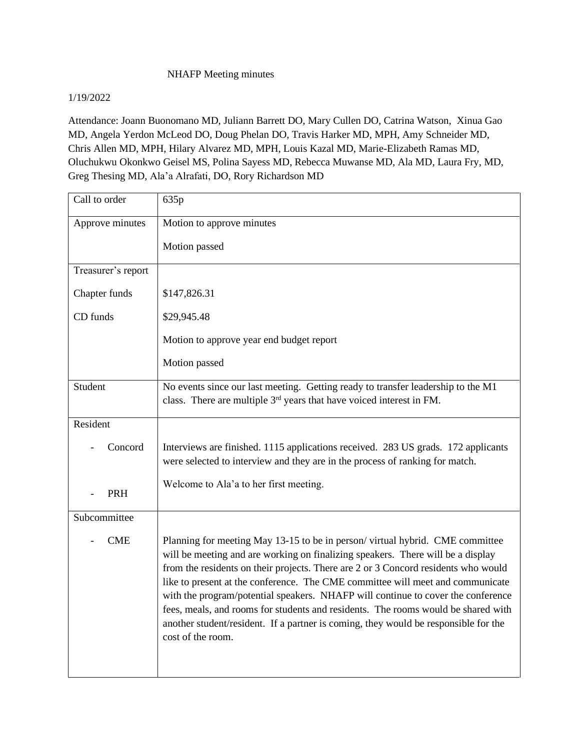## NHAFP Meeting minutes

## 1/19/2022

Attendance: Joann Buonomano MD, Juliann Barrett DO, Mary Cullen DO, Catrina Watson, Xinua Gao MD, Angela Yerdon McLeod DO, Doug Phelan DO, Travis Harker MD, MPH, Amy Schneider MD, Chris Allen MD, MPH, Hilary Alvarez MD, MPH, Louis Kazal MD, Marie-Elizabeth Ramas MD, Oluchukwu Okonkwo Geisel MS, Polina Sayess MD, Rebecca Muwanse MD, Ala MD, Laura Fry, MD, Greg Thesing MD, Ala'a Alrafati, DO, Rory Richardson MD

| Call to order      | 635p                                                                                                                                                                                                                                                                                                                                                                                                                                                                                                                                                                                                                         |
|--------------------|------------------------------------------------------------------------------------------------------------------------------------------------------------------------------------------------------------------------------------------------------------------------------------------------------------------------------------------------------------------------------------------------------------------------------------------------------------------------------------------------------------------------------------------------------------------------------------------------------------------------------|
| Approve minutes    | Motion to approve minutes                                                                                                                                                                                                                                                                                                                                                                                                                                                                                                                                                                                                    |
|                    | Motion passed                                                                                                                                                                                                                                                                                                                                                                                                                                                                                                                                                                                                                |
| Treasurer's report |                                                                                                                                                                                                                                                                                                                                                                                                                                                                                                                                                                                                                              |
| Chapter funds      | \$147,826.31                                                                                                                                                                                                                                                                                                                                                                                                                                                                                                                                                                                                                 |
| CD funds           | \$29,945.48                                                                                                                                                                                                                                                                                                                                                                                                                                                                                                                                                                                                                  |
|                    | Motion to approve year end budget report                                                                                                                                                                                                                                                                                                                                                                                                                                                                                                                                                                                     |
|                    | Motion passed                                                                                                                                                                                                                                                                                                                                                                                                                                                                                                                                                                                                                |
| Student            | No events since our last meeting. Getting ready to transfer leadership to the M1<br>class. There are multiple 3 <sup>rd</sup> years that have voiced interest in FM.                                                                                                                                                                                                                                                                                                                                                                                                                                                         |
| Resident           |                                                                                                                                                                                                                                                                                                                                                                                                                                                                                                                                                                                                                              |
| Concord            | Interviews are finished. 1115 applications received. 283 US grads. 172 applicants<br>were selected to interview and they are in the process of ranking for match.                                                                                                                                                                                                                                                                                                                                                                                                                                                            |
| PRH                | Welcome to Ala'a to her first meeting.                                                                                                                                                                                                                                                                                                                                                                                                                                                                                                                                                                                       |
| Subcommittee       |                                                                                                                                                                                                                                                                                                                                                                                                                                                                                                                                                                                                                              |
| <b>CME</b>         | Planning for meeting May 13-15 to be in person/virtual hybrid. CME committee<br>will be meeting and are working on finalizing speakers. There will be a display<br>from the residents on their projects. There are 2 or 3 Concord residents who would<br>like to present at the conference. The CME committee will meet and communicate<br>with the program/potential speakers. NHAFP will continue to cover the conference<br>fees, meals, and rooms for students and residents. The rooms would be shared with<br>another student/resident. If a partner is coming, they would be responsible for the<br>cost of the room. |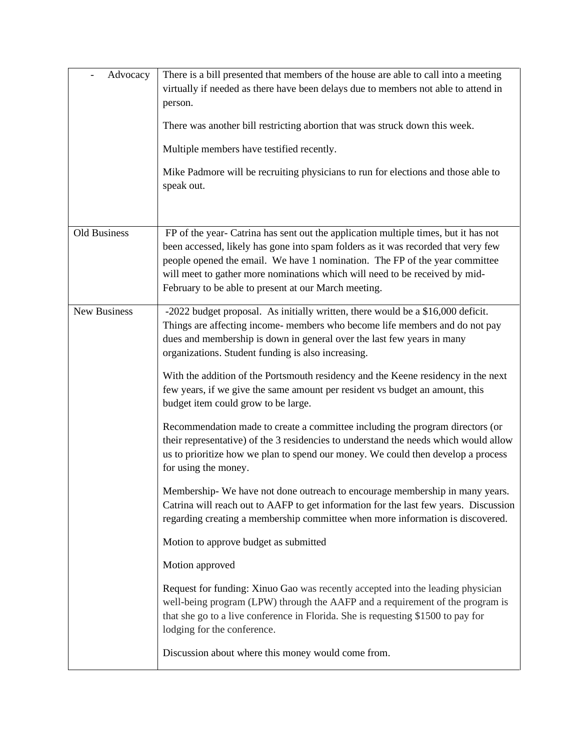| Advocacy     | There is a bill presented that members of the house are able to call into a meeting<br>virtually if needed as there have been delays due to members not able to attend in<br>person.<br>There was another bill restricting abortion that was struck down this week.<br>Multiple members have testified recently.<br>Mike Padmore will be recruiting physicians to run for elections and those able to<br>speak out. |
|--------------|---------------------------------------------------------------------------------------------------------------------------------------------------------------------------------------------------------------------------------------------------------------------------------------------------------------------------------------------------------------------------------------------------------------------|
| Old Business | FP of the year- Catrina has sent out the application multiple times, but it has not<br>been accessed, likely has gone into spam folders as it was recorded that very few<br>people opened the email. We have 1 nomination. The FP of the year committee<br>will meet to gather more nominations which will need to be received by mid-<br>February to be able to present at our March meeting.                      |
| New Business | -2022 budget proposal. As initially written, there would be a \$16,000 deficit.<br>Things are affecting income- members who become life members and do not pay<br>dues and membership is down in general over the last few years in many<br>organizations. Student funding is also increasing.                                                                                                                      |
|              | With the addition of the Portsmouth residency and the Keene residency in the next<br>few years, if we give the same amount per resident vs budget an amount, this<br>budget item could grow to be large.                                                                                                                                                                                                            |
|              | Recommendation made to create a committee including the program directors (or<br>their representative) of the 3 residencies to understand the needs which would allow<br>us to prioritize how we plan to spend our money. We could then develop a process<br>for using the money.                                                                                                                                   |
|              | Membership- We have not done outreach to encourage membership in many years.<br>Catrina will reach out to AAFP to get information for the last few years. Discussion<br>regarding creating a membership committee when more information is discovered.                                                                                                                                                              |
|              | Motion to approve budget as submitted                                                                                                                                                                                                                                                                                                                                                                               |
|              | Motion approved                                                                                                                                                                                                                                                                                                                                                                                                     |
|              | Request for funding: Xinuo Gao was recently accepted into the leading physician<br>well-being program (LPW) through the AAFP and a requirement of the program is<br>that she go to a live conference in Florida. She is requesting \$1500 to pay for<br>lodging for the conference.                                                                                                                                 |
|              | Discussion about where this money would come from.                                                                                                                                                                                                                                                                                                                                                                  |